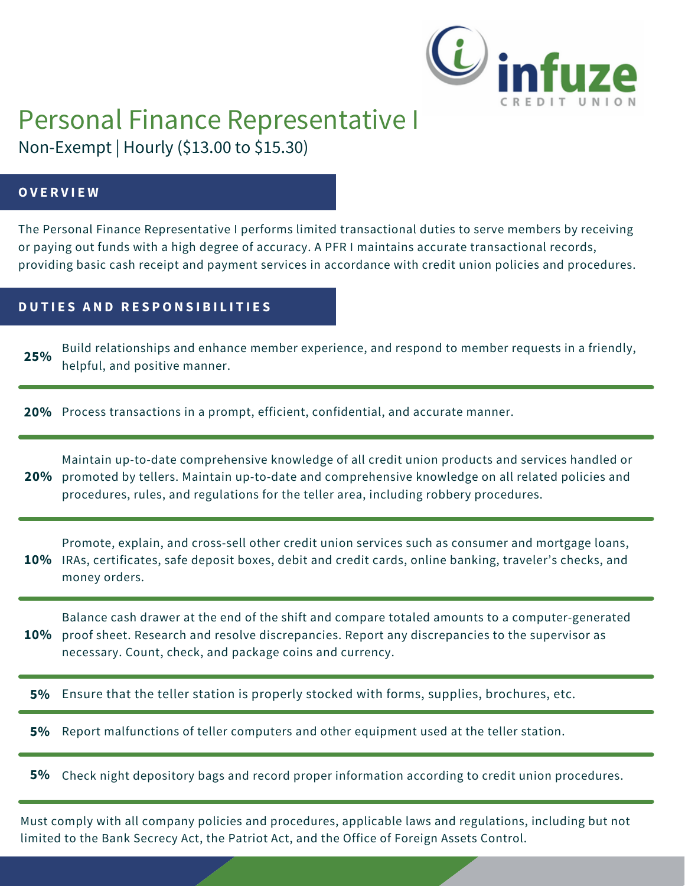

# Personal Finance Representative I

Non-Exempt | Hourly (\$13.00 to \$15.30)

## **O V E R V I E W**

The Personal Finance Representative I performs limited transactional duties to serve members by receiving or paying out funds with a high degree of accuracy. A PFR I maintains accurate transactional records, providing basic cash receipt and payment services in accordance with credit union policies and procedures.

## **D U T I E S A N D R E S P O N S I B I L I T I E S**

Build relationships and enhance member experience, and respond to member requests in a friendly, helpful, and positive manner. **25%**

**20%** Process transactions in a prompt, efficient, confidential, and accurate manner.

Maintain up-to-date comprehensive knowledge of all credit union products and services handled or 20% promoted by tellers. Maintain up-to-date and comprehensive knowledge on all related policies and procedures, rules, and regulations for the teller area, including robbery procedures.

Promote, explain, and cross-sell other credit union services such as consumer and mortgage loans, IRAs, certificates, safe deposit boxes, debit and credit cards, online banking, traveler's checks, and **10%** money orders.

**10%** proof sheet. Research and resolve discrepancies. Report any discrepancies to the supervisor as Balance cash drawer at the end of the shift and compare totaled amounts to a computer-generated necessary. Count, check, and package coins and currency.

**5%** Ensure that the teller station is properly stocked with forms, supplies, brochures, etc.

**5%** Report malfunctions of teller computers and other equipment used at the teller station.

Check night depository bags and record proper information according to credit union procedures. **5%**

Must comply with all company policies and procedures, applicable laws and regulations, including but not limited to the Bank Secrecy Act, the Patriot Act, and the Office of Foreign Assets Control.